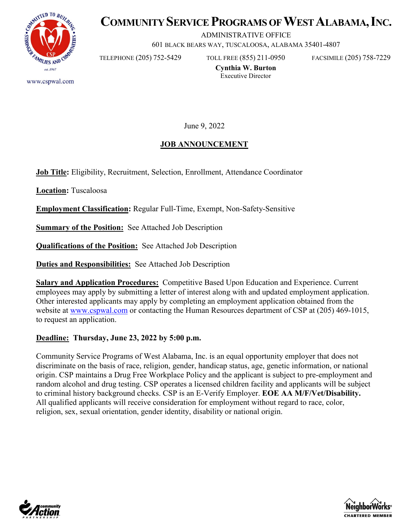

# **COMMUNITY SERVICE PROGRAMS OF WEST ALABAMA, INC.**

ADMINISTRATIVE OFFICE

601 BLACK BEARS WAY, TUSCALOOSA, ALABAMA 35401-4807

TELEPHONE (205) 752-5429 TOLL FREE (855) 211-0950 FACSIMILE (205) 758-7229

www.cspwal.com

**Cynthia W. Burton** Executive Director

June 9, 2022

# **JOB ANNOUNCEMENT**

**Job Title:** Eligibility, Recruitment, Selection, Enrollment, Attendance Coordinator

**Location:** Tuscaloosa

**Employment Classification:** Regular Full-Time, Exempt, Non-Safety-Sensitive

**<u>Summary of the Position:</u>** See Attached Job Description

**Qualifications of the Position:** See Attached Job Description

**Duties and Responsibilities:** See Attached Job Description

**Salary and Application Procedures:** Competitive Based Upon Education and Experience. Current employees may apply by submitting a letter of interest along with and updated employment application. Other interested applicants may apply by completing an employment application obtained from the website at [www.cspwal.com](http://www.cspwal.com/) or contacting the Human Resources department of CSP at (205) 469-1015, to request an application.

#### **Deadline: Thursday, June 23, 2022 by 5:00 p.m.**

Community Service Programs of West Alabama, Inc. is an equal opportunity employer that does not discriminate on the basis of race, religion, gender, handicap status, age, genetic information, or national origin. CSP maintains a Drug Free Workplace Policy and the applicant is subject to pre-employment and random alcohol and drug testing. CSP operates a licensed children facility and applicants will be subject to criminal history background checks. CSP is an E-Verify Employer. **EOE AA M/F/Vet/Disability.**  All qualified applicants will receive consideration for employment without regard to race, color, religion, sex, sexual orientation, gender identity, disability or national origin.



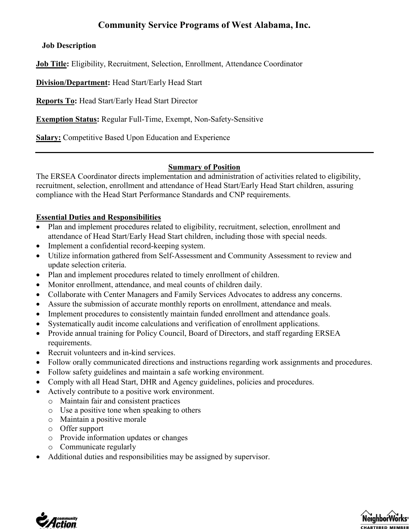# **Community Service Programs of West Alabama, Inc.**

# **Job Description**

**Job Title:** Eligibility, Recruitment, Selection, Enrollment, Attendance Coordinator

**Division/Department:** Head Start/Early Head Start

**Reports To:** Head Start/Early Head Start Director

**Exemption Status:** Regular Full-Time, Exempt, Non-Safety-Sensitive

**Salary:** Competitive Based Upon Education and Experience

#### **Summary of Position**

The ERSEA Coordinator directs implementation and administration of activities related to eligibility, recruitment, selection, enrollment and attendance of Head Start/Early Head Start children, assuring compliance with the Head Start Performance Standards and CNP requirements.

#### **Essential Duties and Responsibilities**

- Plan and implement procedures related to eligibility, recruitment, selection, enrollment and attendance of Head Start/Early Head Start children, including those with special needs.
- Implement a confidential record-keeping system.
- Utilize information gathered from Self-Assessment and Community Assessment to review and update selection criteria.
- Plan and implement procedures related to timely enrollment of children.
- Monitor enrollment, attendance, and meal counts of children daily.
- Collaborate with Center Managers and Family Services Advocates to address any concerns.
- Assure the submission of accurate monthly reports on enrollment, attendance and meals.
- Implement procedures to consistently maintain funded enrollment and attendance goals.
- Systematically audit income calculations and verification of enrollment applications.
- Provide annual training for Policy Council, Board of Directors, and staff regarding ERSEA requirements.
- Recruit volunteers and in-kind services.
- Follow orally communicated directions and instructions regarding work assignments and procedures.
- Follow safety guidelines and maintain a safe working environment.
- Comply with all Head Start, DHR and Agency guidelines, policies and procedures.
- Actively contribute to a positive work environment.
	- o Maintain fair and consistent practices
	- o Use a positive tone when speaking to others
	- o Maintain a positive morale
	- o Offer support
	- o Provide information updates or changes
	- o Communicate regularly
- Additional duties and responsibilities may be assigned by supervisor.



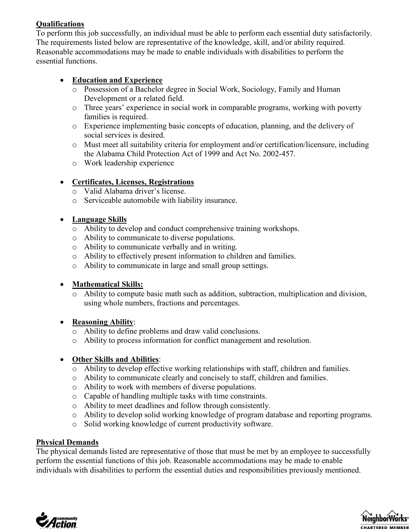# **Qualifications**

To perform this job successfully, an individual must be able to perform each essential duty satisfactorily. The requirements listed below are representative of the knowledge, skill, and/or ability required. Reasonable accommodations may be made to enable individuals with disabilities to perform the essential functions.

# • **Education and Experience**

- o Possession of a Bachelor degree in Social Work, Sociology, Family and Human Development or a related field.
- o Three years' experience in social work in comparable programs, working with poverty families is required.
- o Experience implementing basic concepts of education, planning, and the delivery of social services is desired.
- o Must meet all suitability criteria for employment and/or certification/licensure, including the Alabama Child Protection Act of 1999 and Act No. 2002-457.
- o Work leadership experience

# • **Certificates, Licenses, Registrations**

- o Valid Alabama driver's license.
- o Serviceable automobile with liability insurance.

# • **Language Skills**

- o Ability to develop and conduct comprehensive training workshops.
- o Ability to communicate to diverse populations.
- o Ability to communicate verbally and in writing.
- o Ability to effectively present information to children and families.
- o Ability to communicate in large and small group settings.

# • **Mathematical Skills:**

o Ability to compute basic math such as addition, subtraction, multiplication and division, using whole numbers, fractions and percentages.

#### • **Reasoning Ability**:

- o Ability to define problems and draw valid conclusions.
- o Ability to process information for conflict management and resolution.

# • **Other Skills and Abilities**:

- o Ability to develop effective working relationships with staff, children and families.
- o Ability to communicate clearly and concisely to staff, children and families.
- o Ability to work with members of diverse populations.
- o Capable of handling multiple tasks with time constraints.
- o Ability to meet deadlines and follow through consistently.
- o Ability to develop solid working knowledge of program database and reporting programs.
- o Solid working knowledge of current productivity software.

#### **Physical Demands**

The physical demands listed are representative of those that must be met by an employee to successfully perform the essential functions of this job. Reasonable accommodations may be made to enable individuals with disabilities to perform the essential duties and responsibilities previously mentioned.